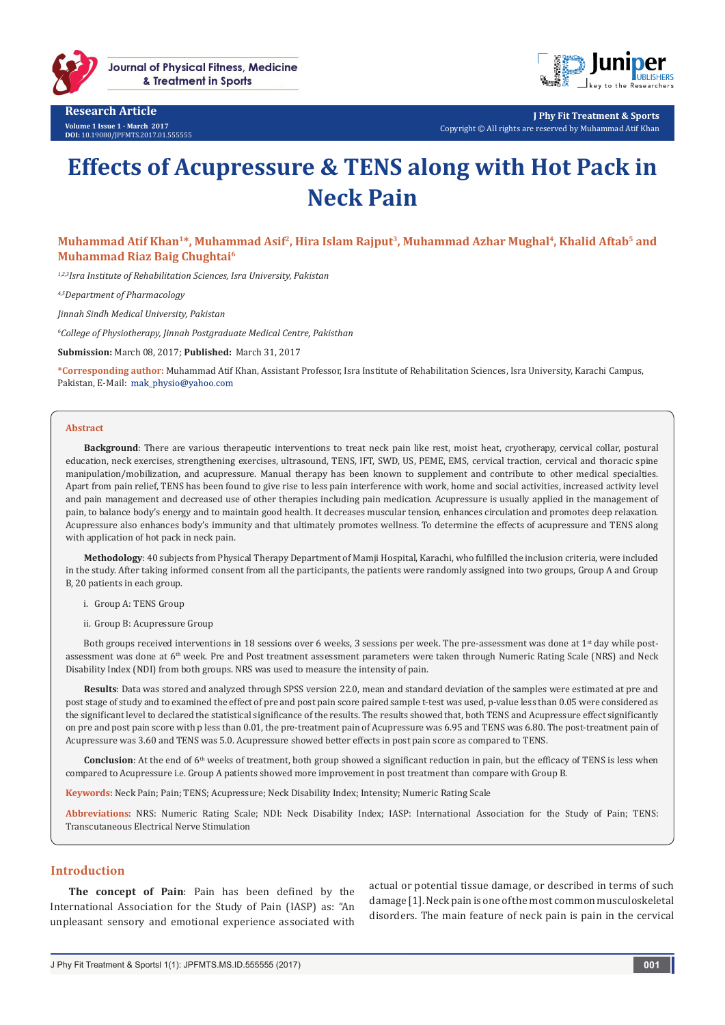

**Research Article Volume 1 Issue 1 - March 2017 DOI:** [10.19080/JPFMTS.2017.01.555555](http://dx.doi.org/10.19080/JPFMTS.2017.01.555555
)



**J Phy Fit Treatment & Sports** Copyright © All rights are reserved by Muhammad Atif Khan

# **Effects of Acupressure & TENS along with Hot Pack in Neck Pain**

**Muhammad Atif Khan1\*, Muhammad Asif2, Hira Islam Rajput3, Muhammad Azhar Mughal4, Khalid Aftab5 and Muhammad Riaz Baig Chughtai6**

*1,2,3Isra Institute of Rehabilitation Sciences, Isra University, Pakistan*

*4,5Department of Pharmacology*

*Jinnah Sindh Medical University, Pakistan*

*6 College of Physiotherapy, Jinnah Postgraduate Medical Centre, Pakisthan*

**Submission:** March 08, 2017; **Published:** March 31, 2017

**\*Corresponding author:** Muhammad Atif Khan, Assistant Professor, Isra Institute of Rehabilitation Sciences, Isra University, Karachi Campus, Pakistan, E-Mail: mak physio@yahoo.com

#### **Abstract**

**Background**: There are various therapeutic interventions to treat neck pain like rest, moist heat, cryotherapy, cervical collar, postural education, neck exercises, strengthening exercises, ultrasound, TENS, IFT, SWD, US, PEME, EMS, cervical traction, cervical and thoracic spine manipulation/mobilization, and acupressure. Manual therapy has been known to supplement and contribute to other medical specialties. Apart from pain relief, TENS has been found to give rise to less pain interference with work, home and social activities, increased activity level and pain management and decreased use of other therapies including pain medication. Acupressure is usually applied in the management of pain, to balance body's energy and to maintain good health. It decreases muscular tension, enhances circulation and promotes deep relaxation. Acupressure also enhances body's immunity and that ultimately promotes wellness. To determine the effects of acupressure and TENS along with application of hot pack in neck pain.

**Methodology**: 40 subjects from Physical Therapy Department of Mamji Hospital, Karachi, who fulfilled the inclusion criteria, were included in the study. After taking informed consent from all the participants, the patients were randomly assigned into two groups, Group A and Group B, 20 patients in each group.

- i. Group A: TENS Group
- ii. Group B: Acupressure Group

Both groups received interventions in 18 sessions over 6 weeks, 3 sessions per week. The pre-assessment was done at 1<sup>st</sup> day while postassessment was done at 6<sup>th</sup> week. Pre and Post treatment assessment parameters were taken through Numeric Rating Scale (NRS) and Neck Disability Index (NDI) from both groups. NRS was used to measure the intensity of pain.

**Results**: Data was stored and analyzed through SPSS version 22.0, mean and standard deviation of the samples were estimated at pre and post stage of study and to examined the effect of pre and post pain score paired sample t-test was used, p-value less than 0.05 were considered as the significant level to declared the statistical significance of the results. The results showed that, both TENS and Acupressure effect significantly on pre and post pain score with p less than 0.01, the pre-treatment pain of Acupressure was 6.95 and TENS was 6.80. The post-treatment pain of Acupressure was 3.60 and TENS was 5.0. Acupressure showed better effects in post pain score as compared to TENS.

**Conclusion**: At the end of 6<sup>th</sup> weeks of treatment, both group showed a significant reduction in pain, but the efficacy of TENS is less when compared to Acupressure i.e. Group A patients showed more improvement in post treatment than compare with Group B.

**Keywords:** Neck Pain; Pain; TENS; Acupressure; Neck Disability Index; Intensity; Numeric Rating Scale

**Abbreviations**: NRS: Numeric Rating Scale; NDI: Neck Disability Index; IASP: International Association for the Study of Pain; TENS: Transcutaneous Electrical Nerve Stimulation

## **Introduction**

**The concept of Pain**: Pain has been defined by the International Association for the Study of Pain (IASP) as: "An unpleasant sensory and emotional experience associated with

actual or potential tissue damage, or described in terms of such damage [1]. Neck pain is one of the most common musculoskeletal disorders. The main feature of neck pain is pain in the cervical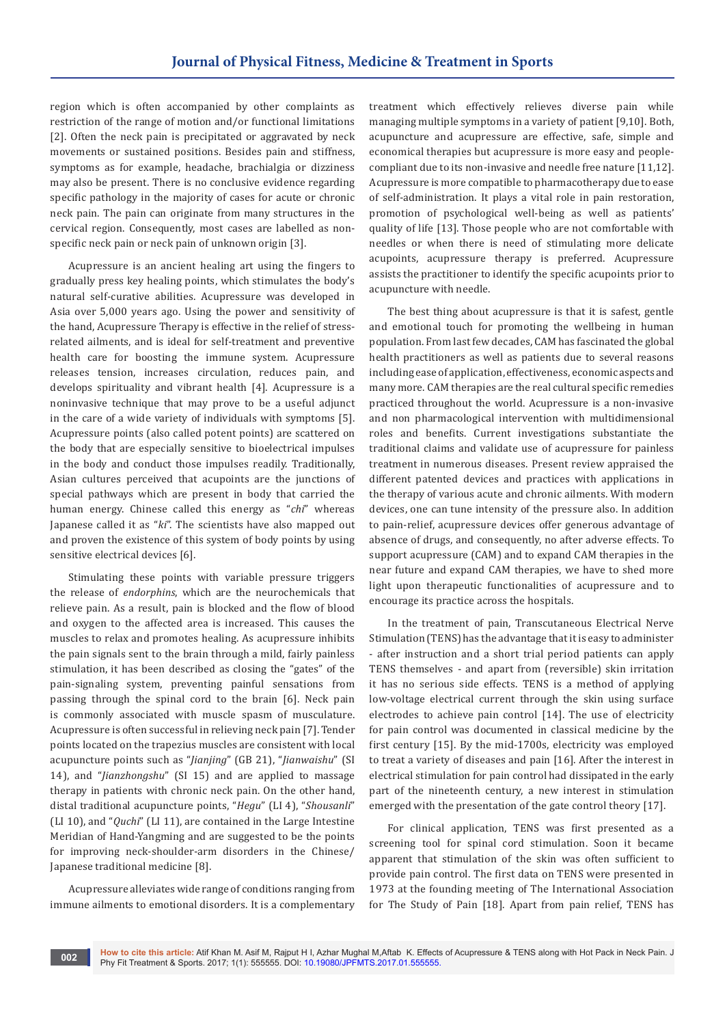region which is often accompanied by other complaints as restriction of the range of motion and/or functional limitations [2]. Often the neck pain is precipitated or aggravated by neck movements or sustained positions. Besides pain and stiffness, symptoms as for example, headache, brachialgia or dizziness may also be present. There is no conclusive evidence regarding specific pathology in the majority of cases for acute or chronic neck pain. The pain can originate from many structures in the cervical region. Consequently, most cases are labelled as nonspecific neck pain or neck pain of unknown origin [3].

Acupressure is an ancient healing art using the fingers to gradually press key healing points, which stimulates the body's natural self-curative abilities. Acupressure was developed in Asia over 5,000 years ago. Using the power and sensitivity of the hand, Acupressure Therapy is effective in the relief of stressrelated ailments, and is ideal for self-treatment and preventive health care for boosting the immune system. Acupressure releases tension, increases circulation, reduces pain, and develops spirituality and vibrant health [4]. Acupressure is a noninvasive technique that may prove to be a useful adjunct in the care of a wide variety of individuals with symptoms [5]. Acupressure points (also called potent points) are scattered on the body that are especially sensitive to bioelectrical impulses in the body and conduct those impulses readily. Traditionally, Asian cultures perceived that acupoints are the junctions of special pathways which are present in body that carried the human energy. Chinese called this energy as "*chi*" whereas Japanese called it as "*ki*". The scientists have also mapped out and proven the existence of this system of body points by using sensitive electrical devices [6].

Stimulating these points with variable pressure triggers the release of *endorphins*, which are the neurochemicals that relieve pain. As a result, pain is blocked and the flow of blood and oxygen to the affected area is increased. This causes the muscles to relax and promotes healing. As acupressure inhibits the pain signals sent to the brain through a mild, fairly painless stimulation, it has been described as closing the "gates" of the pain-signaling system, preventing painful sensations from passing through the spinal cord to the brain [6]. Neck pain is commonly associated with muscle spasm of musculature. Acupressure is often successful in relieving neck pain [7]. Tender points located on the trapezius muscles are consistent with local acupuncture points such as "*Jianjing*" (GB 21), "*Jianwaishu*" (SI 14), and "*Jianzhongshu*" (SI 15) and are applied to massage therapy in patients with chronic neck pain. On the other hand, distal traditional acupuncture points, "*Hegu*" (LI 4), "*Shousanli*" (LI 10), and "*Quchi*" (LI 11), are contained in the Large Intestine Meridian of Hand-Yangming and are suggested to be the points for improving neck-shoulder-arm disorders in the Chinese/ Japanese traditional medicine [8].

Acupressure alleviates wide range of conditions ranging from immune ailments to emotional disorders. It is a complementary

treatment which effectively relieves diverse pain while managing multiple symptoms in a variety of patient [9,10]. Both, acupuncture and acupressure are effective, safe, simple and economical therapies but acupressure is more easy and peoplecompliant due to its non-invasive and needle free nature [11,12]. Acupressure is more compatible to pharmacotherapy due to ease of self-administration. It plays a vital role in pain restoration, promotion of psychological well-being as well as patients' quality of life [13]. Those people who are not comfortable with needles or when there is need of stimulating more delicate acupoints, acupressure therapy is preferred. Acupressure assists the practitioner to identify the specific acupoints prior to acupuncture with needle.

The best thing about acupressure is that it is safest, gentle and emotional touch for promoting the wellbeing in human population. From last few decades, CAM has fascinated the global health practitioners as well as patients due to several reasons including ease of application, effectiveness, economic aspects and many more. CAM therapies are the real cultural specific remedies practiced throughout the world. Acupressure is a non-invasive and non pharmacological intervention with multidimensional roles and benefits. Current investigations substantiate the traditional claims and validate use of acupressure for painless treatment in numerous diseases. Present review appraised the different patented devices and practices with applications in the therapy of various acute and chronic ailments. With modern devices, one can tune intensity of the pressure also. In addition to pain-relief, acupressure devices offer generous advantage of absence of drugs, and consequently, no after adverse effects. To support acupressure (CAM) and to expand CAM therapies in the near future and expand CAM therapies, we have to shed more light upon therapeutic functionalities of acupressure and to encourage its practice across the hospitals.

In the treatment of pain, Transcutaneous Electrical Nerve Stimulation (TENS) has the advantage that it is easy to administer - after instruction and a short trial period patients can apply TENS themselves - and apart from (reversible) skin irritation it has no serious side effects. TENS is a method of applying low-voltage electrical current through the skin using surface electrodes to achieve pain control [14]. The use of electricity for pain control was documented in classical medicine by the first century [15]. By the mid-1700s, electricity was employed to treat a variety of diseases and pain [16]. After the interest in electrical stimulation for pain control had dissipated in the early part of the nineteenth century, a new interest in stimulation emerged with the presentation of the gate control theory [17].

For clinical application, TENS was first presented as a screening tool for spinal cord stimulation. Soon it became apparent that stimulation of the skin was often sufficient to provide pain control. The first data on TENS were presented in 1973 at the founding meeting of The International Association for The Study of Pain [18]. Apart from pain relief, TENS has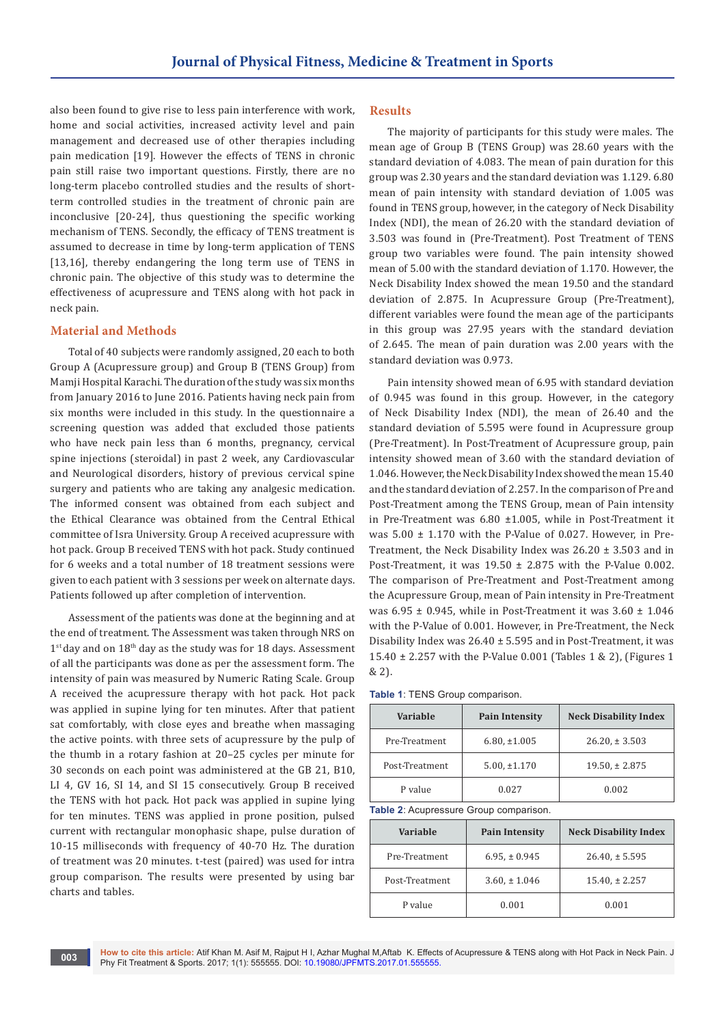also been found to give rise to less pain interference with work, home and social activities, increased activity level and pain management and decreased use of other therapies including pain medication [19]. However the effects of TENS in chronic pain still raise two important questions. Firstly, there are no long-term placebo controlled studies and the results of shortterm controlled studies in the treatment of chronic pain are inconclusive [20-24], thus questioning the specific working mechanism of TENS. Secondly, the efficacy of TENS treatment is assumed to decrease in time by long-term application of TENS [13,16], thereby endangering the long term use of TENS in chronic pain. The objective of this study was to determine the effectiveness of acupressure and TENS along with hot pack in neck pain.

#### **Material and Methods**

Total of 40 subjects were randomly assigned, 20 each to both Group A (Acupressure group) and Group B (TENS Group) from Mamji Hospital Karachi. The duration of the study was six months from January 2016 to June 2016. Patients having neck pain from six months were included in this study. In the questionnaire a screening question was added that excluded those patients who have neck pain less than 6 months, pregnancy, cervical spine injections (steroidal) in past 2 week, any Cardiovascular and Neurological disorders, history of previous cervical spine surgery and patients who are taking any analgesic medication. The informed consent was obtained from each subject and the Ethical Clearance was obtained from the Central Ethical committee of Isra University. Group A received acupressure with hot pack. Group B received TENS with hot pack. Study continued for 6 weeks and a total number of 18 treatment sessions were given to each patient with 3 sessions per week on alternate days. Patients followed up after completion of intervention.

Assessment of the patients was done at the beginning and at the end of treatment. The Assessment was taken through NRS on  $1<sup>st</sup>$  day and on  $18<sup>th</sup>$  day as the study was for 18 days. Assessment of all the participants was done as per the assessment form. The intensity of pain was measured by Numeric Rating Scale. Group A received the acupressure therapy with hot pack. Hot pack was applied in supine lying for ten minutes. After that patient sat comfortably, with close eyes and breathe when massaging the active points. with three sets of acupressure by the pulp of the thumb in a rotary fashion at 20–25 cycles per minute for 30 seconds on each point was administered at the GB 21, B10, LI 4, GV 16, SI 14, and SI 15 consecutively. Group B received the TENS with hot pack. Hot pack was applied in supine lying for ten minutes. TENS was applied in prone position, pulsed current with rectangular monophasic shape, pulse duration of 10-15 milliseconds with frequency of 40-70 Hz. The duration of treatment was 20 minutes. t-test (paired) was used for intra group comparison. The results were presented by using bar charts and tables.

#### **Results**

The majority of participants for this study were males. The mean age of Group B (TENS Group) was 28.60 years with the standard deviation of 4.083. The mean of pain duration for this group was 2.30 years and the standard deviation was 1.129. 6.80 mean of pain intensity with standard deviation of 1.005 was found in TENS group, however, in the category of Neck Disability Index (NDI), the mean of 26.20 with the standard deviation of 3.503 was found in (Pre-Treatment). Post Treatment of TENS group two variables were found. The pain intensity showed mean of 5.00 with the standard deviation of 1.170. However, the Neck Disability Index showed the mean 19.50 and the standard deviation of 2.875. In Acupressure Group (Pre-Treatment), different variables were found the mean age of the participants in this group was 27.95 years with the standard deviation of 2.645. The mean of pain duration was 2.00 years with the standard deviation was 0.973.

Pain intensity showed mean of 6.95 with standard deviation of 0.945 was found in this group. However, in the category of Neck Disability Index (NDI), the mean of 26.40 and the standard deviation of 5.595 were found in Acupressure group (Pre-Treatment). In Post-Treatment of Acupressure group, pain intensity showed mean of 3.60 with the standard deviation of 1.046. However, the Neck Disability Index showed the mean 15.40 and the standard deviation of 2.257. In the comparison of Pre and Post-Treatment among the TENS Group, mean of Pain intensity in Pre-Treatment was 6.80 ±1.005, while in Post-Treatment it was  $5.00 \pm 1.170$  with the P-Value of 0.027. However, in Pre-Treatment, the Neck Disability Index was  $26.20 \pm 3.503$  and in Post-Treatment, it was 19.50 ± 2.875 with the P-Value 0.002. The comparison of Pre-Treatment and Post-Treatment among the Acupressure Group, mean of Pain intensity in Pre-Treatment was  $6.95 \pm 0.945$ , while in Post-Treatment it was  $3.60 \pm 1.046$ with the P-Value of 0.001. However, in Pre-Treatment, the Neck Disability Index was  $26.40 \pm 5.595$  and in Post-Treatment, it was 15.40 ± 2.257 with the P-Value 0.001 (Tables 1 & 2), (Figures 1 & 2).

|  |  |  |  | <b>Table 1: TENS Group comparison.</b> |
|--|--|--|--|----------------------------------------|
|--|--|--|--|----------------------------------------|

| Variable       | <b>Pain Intensity</b> | <b>Neck Disability Index</b> |
|----------------|-----------------------|------------------------------|
| Pre-Treatment  | $6.80, \pm 1.005$     | $26.20 \div 3.503$           |
| Post-Treatment | $5.00, \pm 1.170$     | $19.50 \div 2.875$           |
| P value        | 0.027                 | 0.002                        |

**Table 2**: Acupressure Group comparison.

| Variable       | <b>Pain Intensity</b> | <b>Neck Disability Index</b> |
|----------------|-----------------------|------------------------------|
| Pre-Treatment  | $6.95, \pm 0.945$     | $26.40 \pm 5.595$            |
| Post-Treatment | $3.60 \pm 1.046$      | $15.40 \pm 2.257$            |
| P value        | 0.001                 | 0.001                        |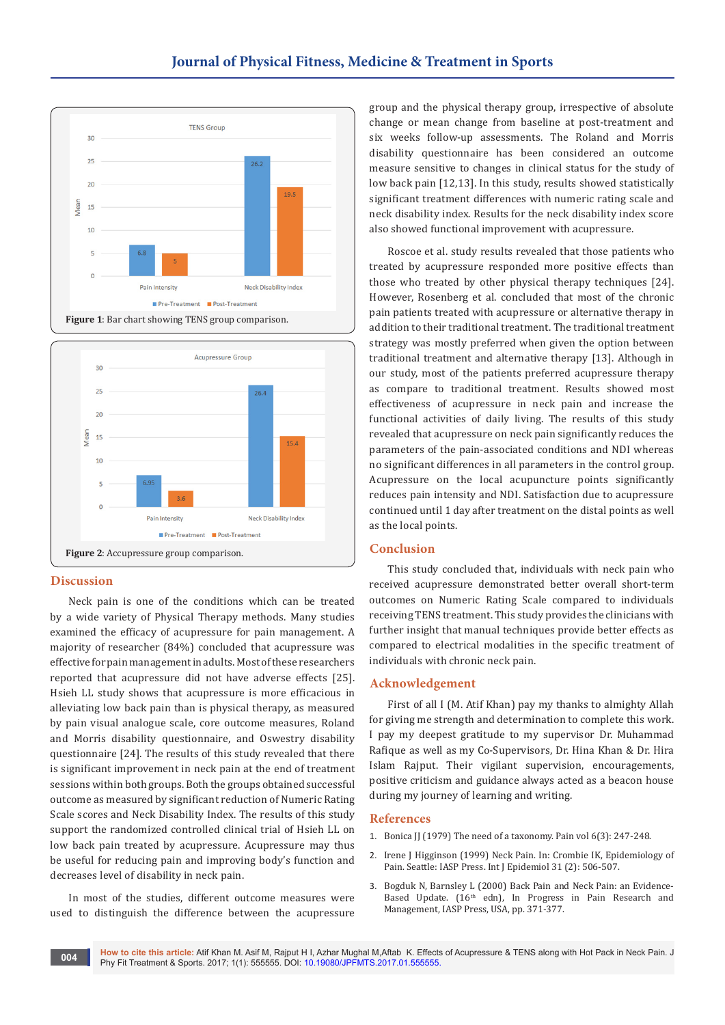



## **Discussion**

Neck pain is one of the conditions which can be treated by a wide variety of Physical Therapy methods. Many studies examined the efficacy of acupressure for pain management. A majority of researcher (84%) concluded that acupressure was effective for pain management in adults. Most of these researchers reported that acupressure did not have adverse effects [25]. Hsieh LL study shows that acupressure is more efficacious in alleviating low back pain than is physical therapy, as measured by pain visual analogue scale, core outcome measures, Roland and Morris disability questionnaire, and Oswestry disability questionnaire [24]. The results of this study revealed that there is significant improvement in neck pain at the end of treatment sessions within both groups. Both the groups obtained successful outcome as measured by significant reduction of Numeric Rating Scale scores and Neck Disability Index. The results of this study support the randomized controlled clinical trial of Hsieh LL on low back pain treated by acupressure. Acupressure may thus be useful for reducing pain and improving body's function and decreases level of disability in neck pain.

In most of the studies, different outcome measures were used to distinguish the difference between the acupressure group and the physical therapy group, irrespective of absolute change or mean change from baseline at post-treatment and six weeks follow-up assessments. The Roland and Morris disability questionnaire has been considered an outcome measure sensitive to changes in clinical status for the study of low back pain [12,13]. In this study, results showed statistically significant treatment differences with numeric rating scale and neck disability index. Results for the neck disability index score also showed functional improvement with acupressure.

Roscoe et al. study results revealed that those patients who treated by acupressure responded more positive effects than those who treated by other physical therapy techniques [24]. However, Rosenberg et al. concluded that most of the chronic pain patients treated with acupressure or alternative therapy in addition to their traditional treatment. The traditional treatment strategy was mostly preferred when given the option between traditional treatment and alternative therapy [13]. Although in our study, most of the patients preferred acupressure therapy as compare to traditional treatment. Results showed most effectiveness of acupressure in neck pain and increase the functional activities of daily living. The results of this study revealed that acupressure on neck pain significantly reduces the parameters of the pain-associated conditions and NDI whereas no significant differences in all parameters in the control group. Acupressure on the local acupuncture points significantly reduces pain intensity and NDI. Satisfaction due to acupressure continued until 1 day after treatment on the distal points as well as the local points.

### **Conclusion**

This study concluded that, individuals with neck pain who received acupressure demonstrated better overall short-term outcomes on Numeric Rating Scale compared to individuals receiving TENS treatment. This study provides the clinicians with further insight that manual techniques provide better effects as compared to electrical modalities in the specific treatment of individuals with chronic neck pain.

## **Acknowledgement**

First of all I (M. Atif Khan) pay my thanks to almighty Allah for giving me strength and determination to complete this work. I pay my deepest gratitude to my supervisor Dr. Muhammad Rafique as well as my Co-Supervisors, Dr. Hina Khan & Dr. Hira Islam Rajput. Their vigilant supervision, encouragements, positive criticism and guidance always acted as a beacon house during my journey of learning and writing.

#### **References**

- 1. [Bonica JJ \(1979\) The need of a taxonomy. Pain vol 6\(3\): 247-248.](https://www.ncbi.nlm.nih.gov/pubmed/460931)
- 2. [Irene J Higginson \(1999\) Neck Pain. In: Crombie IK, Epidemiology of](https://academic.oup.com/ije/article/31/2/506/617743/Epidemiology-of-Pain-IK-Crombie-PR-Croft-SJ-Linton)  [Pain. Seattle: IASP Press. Int J Epidemiol 31 \(2\): 506-507.](https://academic.oup.com/ije/article/31/2/506/617743/Epidemiology-of-Pain-IK-Crombie-PR-Croft-SJ-Linton)
- 3. Bogduk N, Barnsley L (2000) Back Pain and Neck Pain: an Evidence-Based Update. (16<sup>th</sup> edn), In Progress in Pain Research and Management, IASP Press, USA, pp. 371-377.